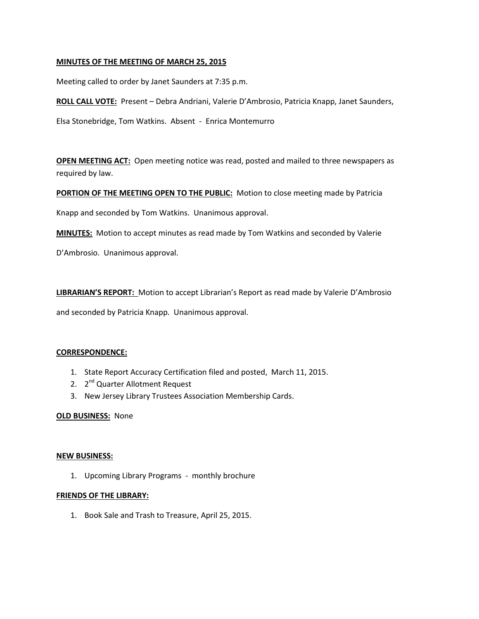## **MINUTES OF THE MEETING OF MARCH 25, 2015**

Meeting called to order by Janet Saunders at 7:35 p.m.

**ROLL CALL VOTE:** Present – Debra Andriani, Valerie D'Ambrosio, Patricia Knapp, Janet Saunders,

Elsa Stonebridge, Tom Watkins. Absent - Enrica Montemurro

**OPEN MEETING ACT:** Open meeting notice was read, posted and mailed to three newspapers as required by law.

**PORTION OF THE MEETING OPEN TO THE PUBLIC:** Motion to close meeting made by Patricia

Knapp and seconded by Tom Watkins. Unanimous approval.

**MINUTES:** Motion to accept minutes as read made by Tom Watkins and seconded by Valerie

D'Ambrosio. Unanimous approval.

**LIBRARIAN'S REPORT:** Motion to accept Librarian's Report as read made by Valerie D'Ambrosio

and seconded by Patricia Knapp. Unanimous approval.

#### **CORRESPONDENCE:**

- 1. State Report Accuracy Certification filed and posted, March 11, 2015.
- 2. 2<sup>nd</sup> Quarter Allotment Request
- 3. New Jersey Library Trustees Association Membership Cards.

#### **OLD BUSINESS:** None

#### **NEW BUSINESS:**

1. Upcoming Library Programs - monthly brochure

#### **FRIENDS OF THE LIBRARY:**

1. Book Sale and Trash to Treasure, April 25, 2015.